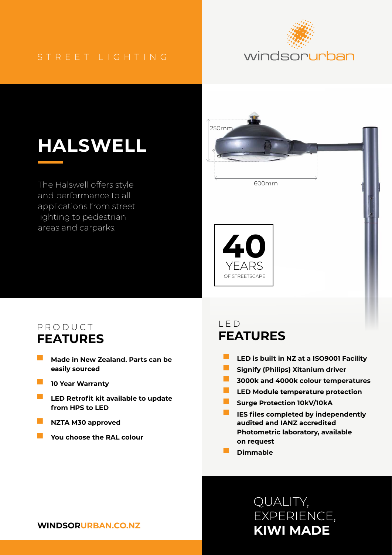#### STREET LIGHTING



# **HALSWELL**

The Halswell offers style and performance to all applications from street lighting to pedestrian areas and carparks.



#### PRODUCT **FEATURES**

- **Made in New Zealand. Parts can be easily sourced**
- **10 Year Warranty**
- **LED Retrofit kit available to update from HPS to LED**
- **NZTA M30 approved**
- **You choose the RAL colour**

### LED **FEATURES**

- **LED is built in NZ at a ISO9001 Facility**
- **Signify (Philips) Xitanium driver**
- **3000k and 4000k colour temperatures**
- **LED Module temperature protection**
- **Surge Protection 10kV/10kA**
- **IES files completed by independently audited and IANZ accredited Photometric laboratory, available on request**
- **Dimmable**

# **KIWI MADE** QUALITY, EXPERIENCE,

#### **WINDSORURBAN.CO.NZ**